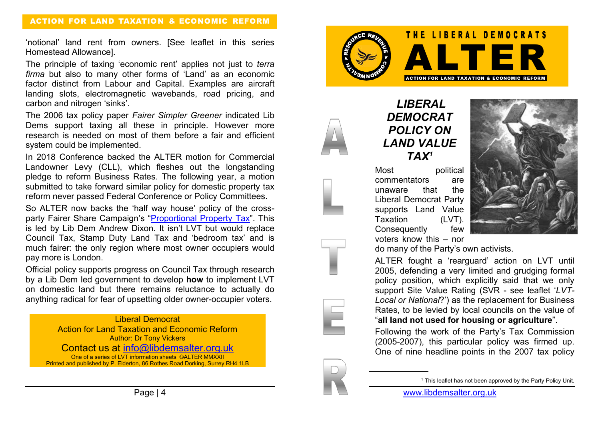'notional' land rent from owners. [See leaflet in this series Homestead Allowance].

The principle of taxing 'economic rent' applies not just to *terra firma* but also to many other forms of 'Land' as an economic factor distinct from Labour and Capital. Examples are aircraft landing slots, electromagnetic wavebands, road pricing, and carbon and nitrogen 'sinks'.

The 2006 tax policy paper *Fairer Simpler Greener* indicated Lib Dems support taxing all these in principle. However more research is needed on most of them before a fair and efficient system could be implemented.

In 2018 Conference backed the ALTER motion for Commercial Landowner Levy (CLL), which fleshes out the longstanding pledge to reform Business Rates. The following year, a motion submitted to take forward similar policy for domestic property tax reform never passed Federal Conference or Policy Committees.

So ALTER now backs the 'half way house' policy of the crossparty Fairer Share Campaign's "Proportional Property Tax". This is led by Lib Dem Andrew Dixon. It isn't LVT but would replace Council Tax, Stamp Duty Land Tax and 'bedroom tax' and is much fairer: the only region where most owner occupiers would pay more is London.

Official policy supports progress on Council Tax through research by a Lib Dem led government to develop **how** to implement LVT on domestic land but there remains reluctance to actually do anything radical for fear of upsetting older owner-occupier voters.

Liberal Democrat Action for Land Taxation and Economic Reform Author: Dr Tony Vickers Contact us at info@libdemsalter.org.uk One of a series of LVT information sheets ©ALTER MMXXII Printed and published by P. Elderton, 86 Rothes Road Dorking, Surrey RH4 1LB



*LIBERAL DEMOCRAT POLICY ON LAND VALUE TAX1*

Most political commentators are unaware that the Liberal Democrat Party supports Land Value Taxation (LVT). Consequently few voters know this – nor



do many of the Party's own activists.

ALTER fought a 'rearguard' action on LVT until 2005, defending a very limited and grudging formal policy position, which explicitly said that we only support Site Value Rating (SVR - see leaflet '*LVT-Local or National*?') as the replacement for Business Rates, to be levied by local councils on the value of "**all land not used for housing or agriculture**".

Following the work of the Party's Tax Commission (2005-2007), this particular policy was firmed up. One of nine headline points in the 2007 tax policy

<sup>&</sup>lt;sup>1</sup> This leaflet has not been approved by the Party Policy Unit.